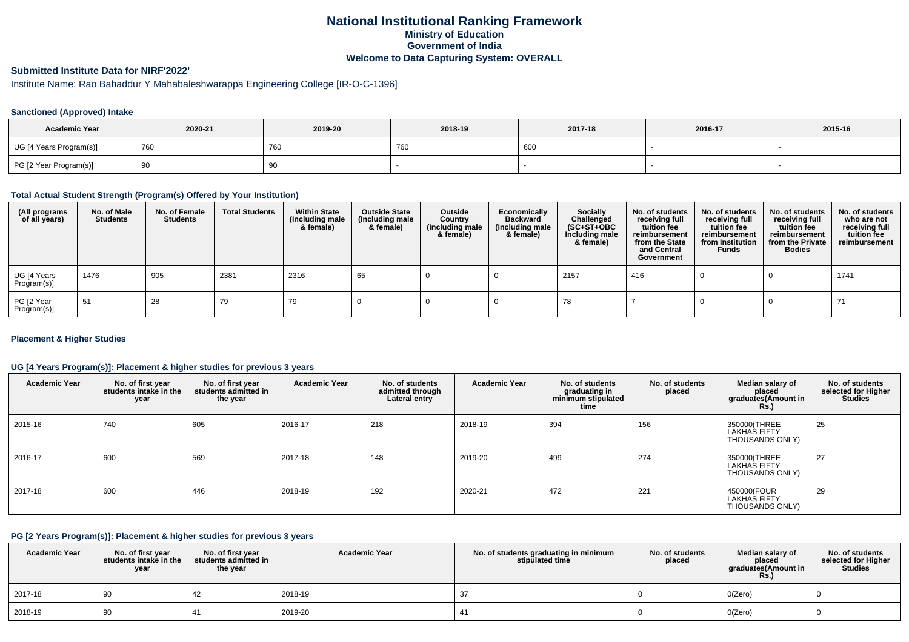## **National Institutional Ranking FrameworkMinistry of Education Government of IndiaWelcome to Data Capturing System: OVERALL**

# **Submitted Institute Data for NIRF'2022'**

# Institute Name: Rao Bahaddur Y Mahabaleshwarappa Engineering College [IR-O-C-1396]

## **Sanctioned (Approved) Intake**

| <b>Academic Year</b>    | 2020-21 | 2019-20    | 2018-19 | 2017-18 | 2016-17 | 2015-16 |
|-------------------------|---------|------------|---------|---------|---------|---------|
| UG [4 Years Program(s)] | 760     | <b>760</b> | 760     | 600     |         |         |
| PG [2 Year Program(s)]  | ູບ      | 90         |         |         |         |         |

#### **Total Actual Student Strength (Program(s) Offered by Your Institution)**

| (All programs<br>of all years) | No. of Male<br><b>Students</b> | No. of Female<br><b>Students</b> | <b>Total Students</b> | <b>Within State</b><br>(Including male<br>& female) | <b>Outside State</b><br>(Including male<br>& female) | Outside<br>Country<br>(Including male<br>& female) | Economically<br><b>Backward</b><br>(Including male<br>& female) | <b>Socially</b><br>Challenged<br>$(SC+ST+OBC)$<br>Including male<br>& female) | No. of students<br>receiving full<br>tuition fee<br>reimbursement<br>from the State<br>and Central<br>Government | No. of students<br>receiving full<br>tuition fee<br>reimbursement<br>from Institution<br><b>Funds</b> | No. of students<br>receiving full<br>tuition fee<br>reimbursement<br>from the Private<br><b>Bodies</b> | No. of students<br>who are not<br>receiving full<br>tuition fee<br>reimbursement |
|--------------------------------|--------------------------------|----------------------------------|-----------------------|-----------------------------------------------------|------------------------------------------------------|----------------------------------------------------|-----------------------------------------------------------------|-------------------------------------------------------------------------------|------------------------------------------------------------------------------------------------------------------|-------------------------------------------------------------------------------------------------------|--------------------------------------------------------------------------------------------------------|----------------------------------------------------------------------------------|
| UG [4 Years<br>Program(s)]     | 1476                           | 905                              | 2381                  | 2316                                                | 65                                                   |                                                    |                                                                 | 2157                                                                          | 416                                                                                                              |                                                                                                       |                                                                                                        | 1741                                                                             |
| PG [2 Year<br>Program(s)]      | 51                             | 28                               | 79                    | 79                                                  |                                                      |                                                    |                                                                 | 78                                                                            |                                                                                                                  |                                                                                                       |                                                                                                        | 71                                                                               |

## **Placement & Higher Studies**

## **UG [4 Years Program(s)]: Placement & higher studies for previous 3 years**

| <b>Academic Year</b> | No. of first year<br>students intake in the<br>year | No. of first year<br>students admitted in<br>the year | <b>Academic Year</b> | No. of students<br>admitted through<br>Lateral entry | <b>Academic Year</b> | No. of students<br>graduating in<br>minimum stipulated<br>time | No. of students<br>placed | Median salary of<br>placed<br>graduates(Amount in<br><b>Rs.)</b> | No. of students<br>selected for Higher<br><b>Studies</b> |
|----------------------|-----------------------------------------------------|-------------------------------------------------------|----------------------|------------------------------------------------------|----------------------|----------------------------------------------------------------|---------------------------|------------------------------------------------------------------|----------------------------------------------------------|
| 2015-16              | 740                                                 | 605                                                   | 2016-17              | 218                                                  | 2018-19              | 394                                                            | 156                       | 350000(THREE<br><b>LAKHAS FIFTY</b><br>THOUSANDS ONLY)           | 25                                                       |
| 2016-17              | 600                                                 | 569                                                   | 2017-18              | 148                                                  | 2019-20              | 499                                                            | 274                       | 350000(THREE<br><b>LAKHAS FIFTY</b><br>THOUSANDS ONLY)           | 27                                                       |
| 2017-18              | 600                                                 | 446                                                   | 2018-19              | 192                                                  | 2020-21              | 472                                                            | 221                       | 450000(FOUR<br>LAKHAS FIFTY<br>THOUSANDS ONLY)                   | 29                                                       |

#### **PG [2 Years Program(s)]: Placement & higher studies for previous 3 years**

| <b>Academic Year</b> | No. of first year<br>students intake in the<br>year | No. of first vear<br>students admitted in<br>the year | <b>Academic Year</b> | No. of students graduating in minimum<br>stipulated time | No. of students<br>placed | Median salary of<br>placed<br>graduates(Amount in<br><b>Rs.</b> ) | No. of students<br>selected for Higher<br><b>Studies</b> |
|----------------------|-----------------------------------------------------|-------------------------------------------------------|----------------------|----------------------------------------------------------|---------------------------|-------------------------------------------------------------------|----------------------------------------------------------|
| 2017-18              | 90                                                  |                                                       | 2018-19              |                                                          |                           | O(Zero)                                                           |                                                          |
| 2018-19              | 90                                                  | 41                                                    | 2019-20              | -41                                                      |                           | O(Zero)                                                           |                                                          |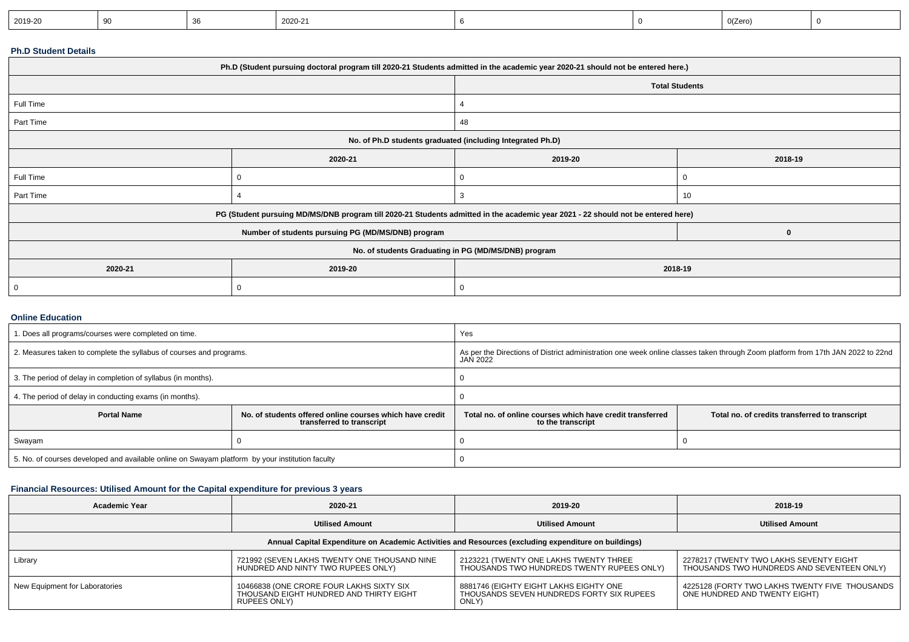| 2020-21<br>2019-20<br>or | 0(Zero) |
|--------------------------|---------|
|--------------------------|---------|

## **Ph.D Student Details**

| Ph.D (Student pursuing doctoral program till 2020-21 Students admitted in the academic year 2020-21 should not be entered here.) |                                                    |                       |         |  |  |  |
|----------------------------------------------------------------------------------------------------------------------------------|----------------------------------------------------|-----------------------|---------|--|--|--|
|                                                                                                                                  |                                                    | <b>Total Students</b> |         |  |  |  |
| Full Time                                                                                                                        |                                                    |                       |         |  |  |  |
| Part Time                                                                                                                        |                                                    | 48                    |         |  |  |  |
| No. of Ph.D students graduated (including Integrated Ph.D)                                                                       |                                                    |                       |         |  |  |  |
|                                                                                                                                  | 2020-21                                            | 2019-20               | 2018-19 |  |  |  |
| Full Time                                                                                                                        | 0                                                  | 0                     | O       |  |  |  |
| Part Time                                                                                                                        |                                                    | 3                     | 10      |  |  |  |
| PG (Student pursuing MD/MS/DNB program till 2020-21 Students admitted in the academic year 2021 - 22 should not be entered here) |                                                    |                       |         |  |  |  |
|                                                                                                                                  | Number of students pursuing PG (MD/MS/DNB) program |                       | 0       |  |  |  |
| No. of students Graduating in PG (MD/MS/DNB) program                                                                             |                                                    |                       |         |  |  |  |
| 2020-21                                                                                                                          | 2019-20<br>2018-19                                 |                       |         |  |  |  |
| 0                                                                                                                                | 0                                                  | 0                     |         |  |  |  |

#### **Online Education**

| . Does all programs/courses were completed on time.                                             |                                                                                       | Yes                                                                                                                                                |                                                |  |
|-------------------------------------------------------------------------------------------------|---------------------------------------------------------------------------------------|----------------------------------------------------------------------------------------------------------------------------------------------------|------------------------------------------------|--|
| 2. Measures taken to complete the syllabus of courses and programs.                             |                                                                                       | As per the Directions of District administration one week online classes taken through Zoom platform from 17th JAN 2022 to 22nd<br><b>JAN 2022</b> |                                                |  |
| 3. The period of delay in completion of syllabus (in months).                                   |                                                                                       |                                                                                                                                                    |                                                |  |
| 4. The period of delay in conducting exams (in months).                                         |                                                                                       |                                                                                                                                                    |                                                |  |
| <b>Portal Name</b>                                                                              | No. of students offered online courses which have credit<br>transferred to transcript | Total no, of online courses which have credit transferred<br>to the transcript                                                                     | Total no. of credits transferred to transcript |  |
| Swayam                                                                                          |                                                                                       |                                                                                                                                                    |                                                |  |
| 5. No. of courses developed and available online on Swayam platform by your institution faculty |                                                                                       |                                                                                                                                                    |                                                |  |

## **Financial Resources: Utilised Amount for the Capital expenditure for previous 3 years**

| <b>Academic Year</b>                                                                                 | 2020-21                                                                                             | 2019-20                                                                                      | 2018-19                                                                               |  |  |  |  |
|------------------------------------------------------------------------------------------------------|-----------------------------------------------------------------------------------------------------|----------------------------------------------------------------------------------------------|---------------------------------------------------------------------------------------|--|--|--|--|
|                                                                                                      | <b>Utilised Amount</b>                                                                              | <b>Utilised Amount</b>                                                                       | <b>Utilised Amount</b>                                                                |  |  |  |  |
| Annual Capital Expenditure on Academic Activities and Resources (excluding expenditure on buildings) |                                                                                                     |                                                                                              |                                                                                       |  |  |  |  |
| Library                                                                                              | 721992 (SEVEN LAKHS TWENTY ONE THOUSAND NINE<br>HUNDRED AND NINTY TWO RUPEES ONLY)                  | 2123221 (TWENTY ONE LAKHS TWENTY THREE<br>THOUSANDS TWO HUNDREDS TWENTY RUPEES ONLY)         | 2278217 (TWENTY TWO LAKHS SEVENTY EIGHT<br>THOUSANDS TWO HUNDREDS AND SEVENTEEN ONLY) |  |  |  |  |
| New Equipment for Laboratories                                                                       | 10466838 (ONE CRORE FOUR LAKHS SIXTY SIX<br>THOUSAND EIGHT HUNDRED AND THIRTY EIGHT<br>RUPEES ONLY) | 8881746 (EIGHTY EIGHT LAKHS EIGHTY ONE<br>THOUSANDS SEVEN HUNDREDS FORTY SIX RUPEES<br>ONLY) | 4225128 (FORTY TWO LAKHS TWENTY FIVE THOUSANDS<br>ONE HUNDRED AND TWENTY EIGHT)       |  |  |  |  |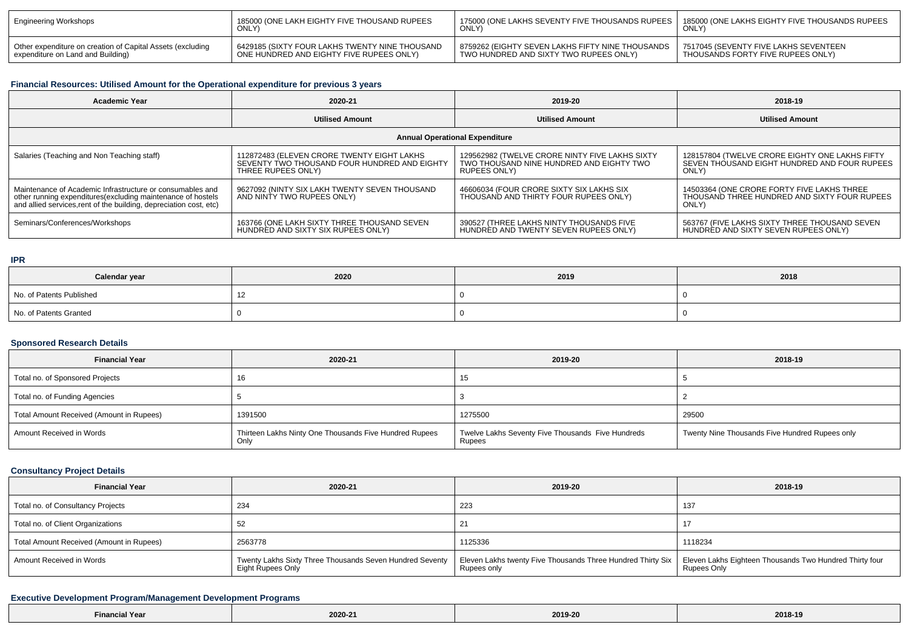| Engineering Workshops                                      | 185000 (ONE LAKH EIGHTY FIVE THOUSAND RUPEES   | ↑ 175000 (ONE LAKHS SEVENTY FIVE THOUSANDS RUPEES │<br>ONLY) | 185000 (ONE LAKHS EIGHTY FIVE THOUSANDS RUPEES<br><b>ONLY</b> |
|------------------------------------------------------------|------------------------------------------------|--------------------------------------------------------------|---------------------------------------------------------------|
| Other expenditure on creation of Capital Assets (excluding | 6429185 (SIXTY FOUR LAKHS TWENTY NINE THOUSAND | 8759262 (EIGHTY SEVEN LAKHS FIFTY NINE THOUSANDS             | 7517045 (SEVENTY FIVE LAKHS SEVENTEEN                         |
| expenditure on Land and Building)                          | ONE HUNDRED AND EIGHTY FIVE RUPEES ONLY)       | TWO HUNDRED AND SIXTY TWO RUPEES ONLY)                       | THOUSANDS FORTY FIVE RUPEES ONLY)                             |

# **Financial Resources: Utilised Amount for the Operational expenditure for previous 3 years**

| <b>Academic Year</b>                                                                                                                                                                            | 2020-21                                                                                                          | 2019-20                                                                                                    | 2018-19                                                                                                 |  |  |  |  |
|-------------------------------------------------------------------------------------------------------------------------------------------------------------------------------------------------|------------------------------------------------------------------------------------------------------------------|------------------------------------------------------------------------------------------------------------|---------------------------------------------------------------------------------------------------------|--|--|--|--|
|                                                                                                                                                                                                 | <b>Utilised Amount</b>                                                                                           | <b>Utilised Amount</b>                                                                                     | <b>Utilised Amount</b>                                                                                  |  |  |  |  |
| <b>Annual Operational Expenditure</b>                                                                                                                                                           |                                                                                                                  |                                                                                                            |                                                                                                         |  |  |  |  |
| Salaries (Teaching and Non Teaching staff)                                                                                                                                                      | 112872483 (ELEVEN CRORE TWENTY EIGHT LAKHS<br>SEVENTY TWO THOUSAND FOUR HUNDRED AND EIGHTY<br>THREE RUPEES ONLY) | 129562982 (TWELVE CRORE NINTY FIVE LAKHS SIXTY<br>TWO THOUSAND NINE HUNDRED AND EIGHTY TWO<br>RUPEES ONLY) | 128157804 (TWELVE CRORE EIGHTY ONE LAKHS FIFTY<br>SEVEN THOUSAND EIGHT HUNDRED AND FOUR RUPEES<br>ONLY) |  |  |  |  |
| Maintenance of Academic Infrastructure or consumables and<br>other running expenditures (excluding maintenance of hostels<br>and allied services, rent of the building, depreciation cost, etc) | 9627092 (NINTY SIX LAKH TWENTY SEVEN THOUSAND<br>AND NINTY TWO RUPEES ONLY)                                      | 46606034 (FOUR CRORE SIXTY SIX LAKHS SIX<br>THOUSAND AND THIRTY FOUR RUPEES ONLY)                          | 14503364 (ONE CRORE FORTY FIVE LAKHS THREE<br>THOUSAND THREE HUNDRED AND SIXTY FOUR RUPEES<br>ONLY)     |  |  |  |  |
| Seminars/Conferences/Workshops                                                                                                                                                                  | 163766 (ONE LAKH SIXTY THREE THOUSAND SEVEN<br>HUNDRED AND SIXTY SIX RUPEES ONLY)                                | 390527 (THREE LAKHS NINTY THOUSANDS FIVE<br>HUNDRED AND TWENTY SEVEN RUPEES ONLY)                          | 563767 (FIVE LAKHS SIXTY THREE THOUSAND SEVEN<br>HUNDRED AND SIXTY SEVEN RUPEES ONLY)                   |  |  |  |  |

#### **IPR**

| Calendar year            | 2020 | 2019 | 2018 |
|--------------------------|------|------|------|
| No. of Patents Published | ے ،  |      |      |
| No. of Patents Granted   |      |      |      |

## **Sponsored Research Details**

| <b>Financial Year</b>                    | 2020-21                                                        | 2019-20                                                     | 2018-19                                        |
|------------------------------------------|----------------------------------------------------------------|-------------------------------------------------------------|------------------------------------------------|
| Total no. of Sponsored Projects          |                                                                |                                                             |                                                |
| Total no. of Funding Agencies            |                                                                |                                                             |                                                |
| Total Amount Received (Amount in Rupees) | 1391500                                                        | 1275500                                                     | 29500                                          |
| Amount Received in Words                 | Thirteen Lakhs Ninty One Thousands Five Hundred Rupees<br>Only | Twelve Lakhs Seventy Five Thousands Five Hundreds<br>Rupees | Twenty Nine Thousands Five Hundred Rupees only |

# **Consultancy Project Details**

| <b>Financial Year</b>                    | 2020-21                                                                       | 2019-20                                                                                                                              | 2018-19            |
|------------------------------------------|-------------------------------------------------------------------------------|--------------------------------------------------------------------------------------------------------------------------------------|--------------------|
| Total no. of Consultancy Projects        | 234                                                                           | 223                                                                                                                                  | 137                |
| Total no. of Client Organizations        |                                                                               |                                                                                                                                      |                    |
| Total Amount Received (Amount in Rupees) | 2563778                                                                       | 1125336                                                                                                                              | 1118234            |
| Amount Received in Words                 | Twenty Lakhs Sixty Three Thousands Seven Hundred Seventy<br>Eight Rupees Only | Eleven Lakhs twenty Five Thousands Three Hundred Thirty Six   Eleven Lakhs Eighteen Thousands Two Hundred Thirty four<br>Rupees only | <b>Rupees Only</b> |

# **Executive Development Program/Management Development Programs**

| the contract of the contract of<br>al Year<br>2019-20<br>2018-19<br>2020-21<br>Tinancia<br>____<br>. |
|------------------------------------------------------------------------------------------------------|
|------------------------------------------------------------------------------------------------------|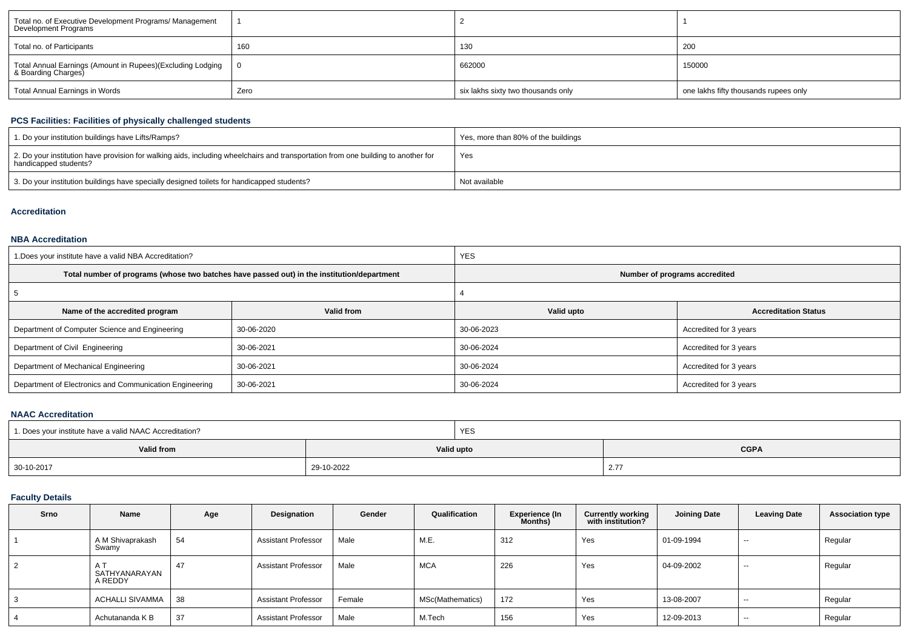| Total no. of Executive Development Programs/ Management<br>Development Programs   |      |                                    |                                       |
|-----------------------------------------------------------------------------------|------|------------------------------------|---------------------------------------|
| Total no. of Participants                                                         | 160  | 130                                | 200                                   |
| Total Annual Earnings (Amount in Rupees)(Excluding Lodging<br>& Boarding Charges) |      | 662000                             | 150000                                |
| Total Annual Earnings in Words                                                    | Zero | six lakhs sixty two thousands only | one lakhs fifty thousands rupees only |

## **PCS Facilities: Facilities of physically challenged students**

| 1. Do your institution buildings have Lifts/Ramps?                                                                                                         | Yes, more than 80% of the buildings |
|------------------------------------------------------------------------------------------------------------------------------------------------------------|-------------------------------------|
| 2. Do your institution have provision for walking aids, including wheelchairs and transportation from one building to another for<br>handicapped students? | Yes                                 |
| 3. Do your institution buildings have specially designed toilets for handicapped students?                                                                 | Not available                       |

## **Accreditation**

#### **NBA Accreditation**

| 1. Does your institute have a valid NBA Accreditation?  |                                                                                            | <b>YES</b>                    |                             |  |  |
|---------------------------------------------------------|--------------------------------------------------------------------------------------------|-------------------------------|-----------------------------|--|--|
|                                                         | Total number of programs (whose two batches have passed out) in the institution/department | Number of programs accredited |                             |  |  |
|                                                         |                                                                                            |                               |                             |  |  |
| Name of the accredited program                          | Valid from                                                                                 | Valid upto                    | <b>Accreditation Status</b> |  |  |
| Department of Computer Science and Engineering          | 30-06-2020                                                                                 | 30-06-2023                    | Accredited for 3 years      |  |  |
| Department of Civil Engineering                         | 30-06-2021                                                                                 | 30-06-2024                    | Accredited for 3 years      |  |  |
| Department of Mechanical Engineering                    | 30-06-2021                                                                                 | 30-06-2024                    | Accredited for 3 years      |  |  |
| Department of Electronics and Communication Engineering | 30-06-2021                                                                                 | 30-06-2024                    | Accredited for 3 years      |  |  |

## **NAAC Accreditation**

| 1. Does your institute have a valid NAAC Accreditation? |            | YES        |               |  |  |
|---------------------------------------------------------|------------|------------|---------------|--|--|
| Valid from                                              |            | Valid upto | <b>CGPA</b>   |  |  |
| 30-10-2017                                              | 29-10-2022 |            | $2.7^{\circ}$ |  |  |

## **Faculty Details**

| Srno | Name                      | Age | Designation                | Gender | Qualification    | <b>Experience (In</b><br>Months) | <b>Currently working</b><br>with institution? | <b>Joining Date</b> | <b>Leaving Date</b> | <b>Association type</b> |
|------|---------------------------|-----|----------------------------|--------|------------------|----------------------------------|-----------------------------------------------|---------------------|---------------------|-------------------------|
|      | A M Shivaprakash<br>Swamy | 54  | <b>Assistant Professor</b> | Male   | M.E.             | 312                              | Yes                                           | 01-09-1994          | $- -$               | Regular                 |
| 2    | SATHYANARAYAN<br>A REDDY  | 47  | Assistant Professor        | Male   | <b>MCA</b>       | 226                              | Yes                                           | 04-09-2002          | $- -$               | Regular                 |
| 3    | ACHALLI SIVAMMA           | 38  | <b>Assistant Professor</b> | Female | MSc(Mathematics) | 172                              | Yes                                           | 13-08-2007          | $-$                 | Regular                 |
|      | Achutananda K B           | 37  | <b>Assistant Professor</b> | Male   | M.Tech           | 156                              | Yes                                           | 12-09-2013          | $- -$               | Regular                 |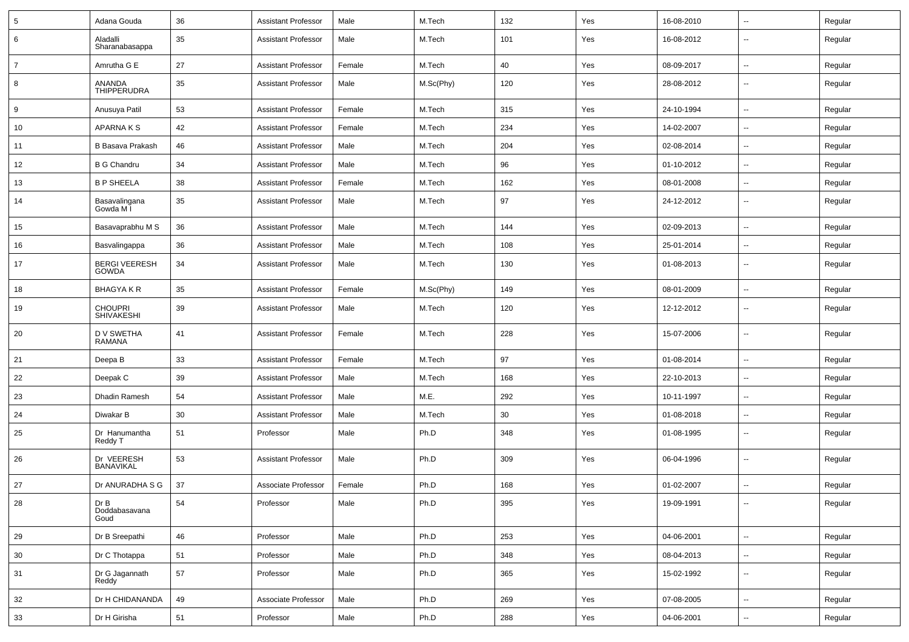| $\sqrt{5}$     | Adana Gouda                          | 36 | <b>Assistant Professor</b> | Male   | M.Tech    | 132 | Yes | 16-08-2010 | $\overline{\phantom{a}}$ | Regular |
|----------------|--------------------------------------|----|----------------------------|--------|-----------|-----|-----|------------|--------------------------|---------|
| 6              | Aladalli<br>Sharanabasappa           | 35 | <b>Assistant Professor</b> | Male   | M.Tech    | 101 | Yes | 16-08-2012 | $\overline{\phantom{a}}$ | Regular |
| $\overline{7}$ | Amrutha G E                          | 27 | <b>Assistant Professor</b> | Female | M.Tech    | 40  | Yes | 08-09-2017 | $\overline{\phantom{a}}$ | Regular |
| 8              | ANANDA<br><b>THIPPERUDRA</b>         | 35 | <b>Assistant Professor</b> | Male   | M.Sc(Phy) | 120 | Yes | 28-08-2012 | $\overline{\phantom{a}}$ | Regular |
| 9              | Anusuya Patil                        | 53 | <b>Assistant Professor</b> | Female | M.Tech    | 315 | Yes | 24-10-1994 | $\mathbf{u}$             | Regular |
| 10             | APARNAKS                             | 42 | <b>Assistant Professor</b> | Female | M.Tech    | 234 | Yes | 14-02-2007 | $\overline{\phantom{a}}$ | Regular |
| 11             | <b>B Basava Prakash</b>              | 46 | <b>Assistant Professor</b> | Male   | M.Tech    | 204 | Yes | 02-08-2014 | $\overline{\phantom{a}}$ | Regular |
| 12             | <b>B G Chandru</b>                   | 34 | <b>Assistant Professor</b> | Male   | M.Tech    | 96  | Yes | 01-10-2012 | $\sim$                   | Regular |
| 13             | <b>B P SHEELA</b>                    | 38 | <b>Assistant Professor</b> | Female | M.Tech    | 162 | Yes | 08-01-2008 | $\sim$                   | Regular |
| 14             | Basavalingana<br>Gowda M I           | 35 | <b>Assistant Professor</b> | Male   | M.Tech    | 97  | Yes | 24-12-2012 | $\overline{\phantom{a}}$ | Regular |
| 15             | Basavaprabhu M S                     | 36 | <b>Assistant Professor</b> | Male   | M.Tech    | 144 | Yes | 02-09-2013 | $\overline{\phantom{a}}$ | Regular |
| 16             | Basvalingappa                        | 36 | <b>Assistant Professor</b> | Male   | M.Tech    | 108 | Yes | 25-01-2014 | $\overline{\phantom{a}}$ | Regular |
| 17             | <b>BERGI VEERESH</b><br><b>GOWDA</b> | 34 | <b>Assistant Professor</b> | Male   | M.Tech    | 130 | Yes | 01-08-2013 | $\overline{\phantom{a}}$ | Regular |
| 18             | <b>BHAGYAKR</b>                      | 35 | <b>Assistant Professor</b> | Female | M.Sc(Phy) | 149 | Yes | 08-01-2009 | $\overline{\phantom{a}}$ | Regular |
| 19             | <b>CHOUPRI</b><br><b>SHIVAKESHI</b>  | 39 | <b>Assistant Professor</b> | Male   | M.Tech    | 120 | Yes | 12-12-2012 | $\overline{\phantom{a}}$ | Regular |
| 20             | D V SWETHA<br>RAMANA                 | 41 | <b>Assistant Professor</b> | Female | M.Tech    | 228 | Yes | 15-07-2006 | $\overline{\phantom{a}}$ | Regular |
| 21             | Deepa B                              | 33 | <b>Assistant Professor</b> | Female | M.Tech    | 97  | Yes | 01-08-2014 | $\overline{\phantom{a}}$ | Regular |
| 22             | Deepak C                             | 39 | <b>Assistant Professor</b> | Male   | M.Tech    | 168 | Yes | 22-10-2013 | $\overline{\phantom{a}}$ | Regular |
| 23             | Dhadin Ramesh                        | 54 | <b>Assistant Professor</b> | Male   | M.E.      | 292 | Yes | 10-11-1997 | $\overline{\phantom{a}}$ | Regular |
| 24             | Diwakar B                            | 30 | <b>Assistant Professor</b> | Male   | M.Tech    | 30  | Yes | 01-08-2018 | $\overline{\phantom{a}}$ | Regular |
| 25             | Dr Hanumantha<br>Reddy T             | 51 | Professor                  | Male   | Ph.D      | 348 | Yes | 01-08-1995 | --                       | Regular |
| 26             | Dr VEERESH<br>BANAVIKAL              | 53 | <b>Assistant Professor</b> | Male   | Ph.D      | 309 | Yes | 06-04-1996 | --                       | Regular |
| 27             | Dr ANURADHA S G                      | 37 | Associate Professor        | Female | Ph.D      | 168 | Yes | 01-02-2007 | $\overline{\phantom{a}}$ | Regular |
| 28             | Dr B<br>Doddabasavana<br>Goud        | 54 | Professor                  | Male   | Ph.D      | 395 | Yes | 19-09-1991 | $\overline{\phantom{a}}$ | Regular |
| 29             | Dr B Sreepathi                       | 46 | Professor                  | Male   | Ph.D      | 253 | Yes | 04-06-2001 | Щ,                       | Regular |
| 30             | Dr C Thotappa                        | 51 | Professor                  | Male   | Ph.D      | 348 | Yes | 08-04-2013 | Щ,                       | Regular |
| 31             | Dr G Jagannath<br>Reddy              | 57 | Professor                  | Male   | Ph.D      | 365 | Yes | 15-02-1992 | $\overline{\phantom{a}}$ | Regular |
| 32             | Dr H CHIDANANDA                      | 49 | Associate Professor        | Male   | Ph.D      | 269 | Yes | 07-08-2005 | Щ,                       | Regular |
| 33             | Dr H Girisha                         | 51 | Professor                  | Male   | Ph.D      | 288 | Yes | 04-06-2001 | $\overline{\phantom{a}}$ | Regular |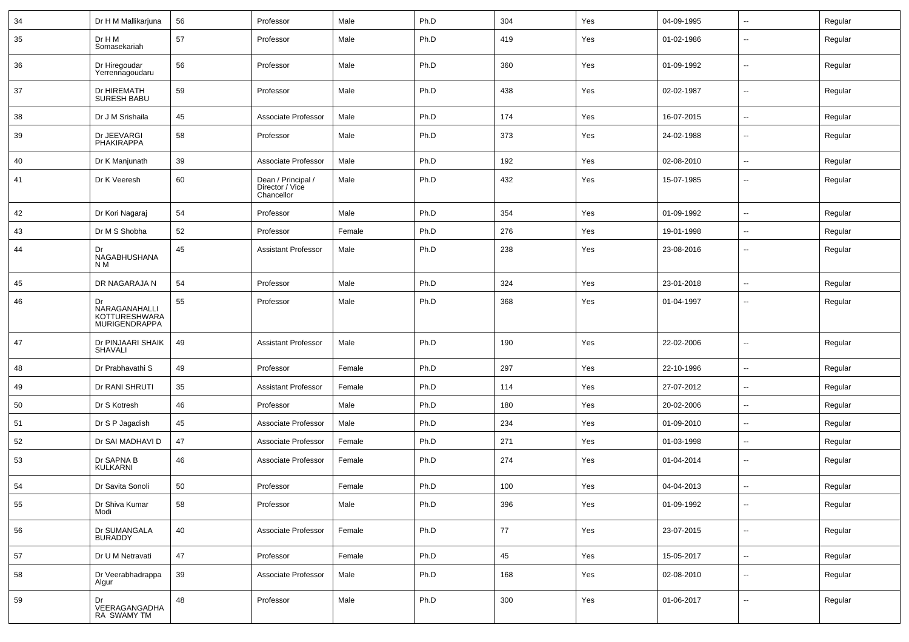| 34 | Dr H M Mallikarjuna                                          | 56 | Professor                                           | Male   | Ph.D | 304 | Yes | 04-09-1995 | ⊷.                       | Regular |
|----|--------------------------------------------------------------|----|-----------------------------------------------------|--------|------|-----|-----|------------|--------------------------|---------|
| 35 | Dr H M<br>Somasekariah                                       | 57 | Professor                                           | Male   | Ph.D | 419 | Yes | 01-02-1986 | --                       | Regular |
| 36 | Dr Hiregoudar<br>Yerrennagoudaru                             | 56 | Professor                                           | Male   | Ph.D | 360 | Yes | 01-09-1992 | --                       | Regular |
| 37 | Dr HIREMATH<br><b>SURESH BABU</b>                            | 59 | Professor                                           | Male   | Ph.D | 438 | Yes | 02-02-1987 | --                       | Regular |
| 38 | Dr J M Srishaila                                             | 45 | Associate Professor                                 | Male   | Ph.D | 174 | Yes | 16-07-2015 | ⊷.                       | Regular |
| 39 | Dr JEEVARGI<br>PHAKIRAPPA                                    | 58 | Professor                                           | Male   | Ph.D | 373 | Yes | 24-02-1988 | $\overline{\phantom{a}}$ | Regular |
| 40 | Dr K Manjunath                                               | 39 | Associate Professor                                 | Male   | Ph.D | 192 | Yes | 02-08-2010 | ⊷.                       | Regular |
| 41 | Dr K Veeresh                                                 | 60 | Dean / Principal /<br>Director / Vice<br>Chancellor | Male   | Ph.D | 432 | Yes | 15-07-1985 | --                       | Regular |
| 42 | Dr Kori Nagaraj                                              | 54 | Professor                                           | Male   | Ph.D | 354 | Yes | 01-09-1992 | -−                       | Regular |
| 43 | Dr M S Shobha                                                | 52 | Professor                                           | Female | Ph.D | 276 | Yes | 19-01-1998 | --                       | Regular |
| 44 | Dr<br>NAGABHUSHANA<br>N <sub>M</sub>                         | 45 | <b>Assistant Professor</b>                          | Male   | Ph.D | 238 | Yes | 23-08-2016 |                          | Regular |
| 45 | DR NAGARAJA N                                                | 54 | Professor                                           | Male   | Ph.D | 324 | Yes | 23-01-2018 | --                       | Regular |
| 46 | Dr<br>NARAGANAHALLI<br>KOTTURESHWARA<br><b>MURIGENDRAPPA</b> | 55 | Professor                                           | Male   | Ph.D | 368 | Yes | 01-04-1997 | -−                       | Regular |
| 47 | Dr PINJAARI SHAIK<br><b>SHAVALI</b>                          | 49 | <b>Assistant Professor</b>                          | Male   | Ph.D | 190 | Yes | 22-02-2006 | ⊷.                       | Regular |
| 48 | Dr Prabhavathi S                                             | 49 | Professor                                           | Female | Ph.D | 297 | Yes | 22-10-1996 | $\overline{\phantom{a}}$ | Regular |
| 49 | Dr RANI SHRUTI                                               | 35 | <b>Assistant Professor</b>                          | Female | Ph.D | 114 | Yes | 27-07-2012 | $\overline{\phantom{a}}$ | Regular |
| 50 | Dr S Kotresh                                                 | 46 | Professor                                           | Male   | Ph.D | 180 | Yes | 20-02-2006 | --                       | Regular |
| 51 | Dr S P Jagadish                                              | 45 | Associate Professor                                 | Male   | Ph.D | 234 | Yes | 01-09-2010 | $\overline{\phantom{a}}$ | Regular |
| 52 | Dr SAI MADHAVI D                                             | 47 | Associate Professor                                 | Female | Ph.D | 271 | Yes | 01-03-1998 | $\overline{\phantom{a}}$ | Regular |
| 53 | Dr SAPNA B<br>KULKARNI                                       | 46 | Associate Professor                                 | Female | Ph.D | 274 | Yes | 01-04-2014 | ⊷.                       | Regular |
| 54 | Dr Savita Sonoli                                             | 50 | Professor                                           | Female | Ph.D | 100 | Yes | 04-04-2013 |                          | Regular |
| 55 | Dr Shiva Kumar<br>Modi                                       | 58 | Professor                                           | Male   | Ph.D | 396 | Yes | 01-09-1992 | $\sim$                   | Regular |
| 56 | Dr SUMANGALA<br>BURADDY                                      | 40 | Associate Professor                                 | Female | Ph.D | 77  | Yes | 23-07-2015 | $\overline{\phantom{a}}$ | Regular |
| 57 | Dr U M Netravati                                             | 47 | Professor                                           | Female | Ph.D | 45  | Yes | 15-05-2017 | н.                       | Regular |
| 58 | Dr Veerabhadrappa<br>Algur                                   | 39 | Associate Professor                                 | Male   | Ph.D | 168 | Yes | 02-08-2010 | $\overline{\phantom{a}}$ | Regular |
| 59 | Dr<br>VEERAGANGADHA<br>RA SWAMY TM                           | 48 | Professor                                           | Male   | Ph.D | 300 | Yes | 01-06-2017 | $\overline{\phantom{a}}$ | Regular |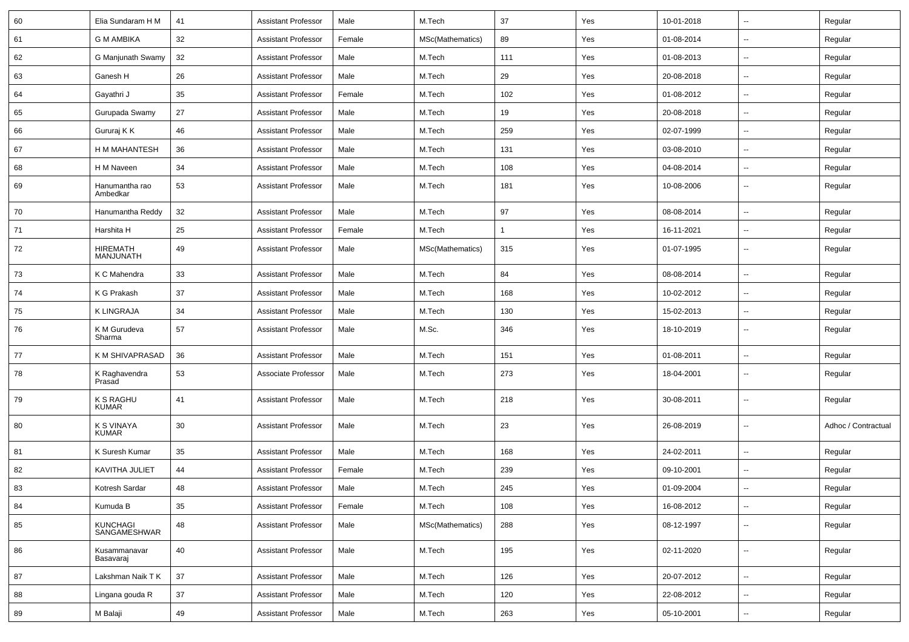| 60 | Elia Sundaram H M                | 41     | <b>Assistant Professor</b> | Male   | M.Tech           | 37  | Yes | 10-01-2018 | $\sim$                   | Regular             |
|----|----------------------------------|--------|----------------------------|--------|------------------|-----|-----|------------|--------------------------|---------------------|
| 61 | <b>G M AMBIKA</b>                | 32     | <b>Assistant Professor</b> | Female | MSc(Mathematics) | 89  | Yes | 01-08-2014 | $\overline{\phantom{a}}$ | Regular             |
| 62 | G Manjunath Swamy                | 32     | <b>Assistant Professor</b> | Male   | M.Tech           | 111 | Yes | 01-08-2013 |                          | Regular             |
| 63 | Ganesh H                         | 26     | <b>Assistant Professor</b> | Male   | M.Tech           | 29  | Yes | 20-08-2018 | --                       | Regular             |
| 64 | Gayathri J                       | 35     | <b>Assistant Professor</b> | Female | M.Tech           | 102 | Yes | 01-08-2012 | --                       | Regular             |
| 65 | Gurupada Swamy                   | 27     | <b>Assistant Professor</b> | Male   | M.Tech           | 19  | Yes | 20-08-2018 |                          | Regular             |
| 66 | Gururaj K K                      | 46     | <b>Assistant Professor</b> | Male   | M.Tech           | 259 | Yes | 02-07-1999 | $\sim$                   | Regular             |
| 67 | H M MAHANTESH                    | 36     | <b>Assistant Professor</b> | Male   | M.Tech           | 131 | Yes | 03-08-2010 | $\sim$                   | Regular             |
| 68 | H M Naveen                       | 34     | <b>Assistant Professor</b> | Male   | M.Tech           | 108 | Yes | 04-08-2014 | --                       | Regular             |
| 69 | Hanumantha rao<br>Ambedkar       | 53     | <b>Assistant Professor</b> | Male   | M.Tech           | 181 | Yes | 10-08-2006 | $\sim$                   | Regular             |
| 70 | Hanumantha Reddy                 | 32     | <b>Assistant Professor</b> | Male   | M.Tech           | 97  | Yes | 08-08-2014 |                          | Regular             |
| 71 | Harshita H                       | 25     | <b>Assistant Professor</b> | Female | M.Tech           |     | Yes | 16-11-2021 | --                       | Regular             |
| 72 | <b>HIREMATH</b><br>MANJUNATH     | 49     | <b>Assistant Professor</b> | Male   | MSc(Mathematics) | 315 | Yes | 01-07-1995 | --                       | Regular             |
| 73 | K C Mahendra                     | 33     | <b>Assistant Professor</b> | Male   | M.Tech           | 84  | Yes | 08-08-2014 | $\overline{\phantom{a}}$ | Regular             |
| 74 | K G Prakash                      | 37     | <b>Assistant Professor</b> | Male   | M.Tech           | 168 | Yes | 10-02-2012 |                          | Regular             |
| 75 | <b>K LINGRAJA</b>                | 34     | <b>Assistant Professor</b> | Male   | M.Tech           | 130 | Yes | 15-02-2013 | $\sim$                   | Regular             |
| 76 | K M Gurudeva<br>Sharma           | 57     | <b>Assistant Professor</b> | Male   | M.Sc.            | 346 | Yes | 18-10-2019 | --                       | Regular             |
| 77 | K M SHIVAPRASAD                  | 36     | <b>Assistant Professor</b> | Male   | M.Tech           | 151 | Yes | 01-08-2011 | --                       | Regular             |
| 78 | K Raghavendra<br>Prasad          | 53     | Associate Professor        | Male   | M.Tech           | 273 | Yes | 18-04-2001 | Ξ.                       | Regular             |
| 79 | <b>K S RAGHU</b><br><b>KUMAR</b> | 41     | <b>Assistant Professor</b> | Male   | M.Tech           | 218 | Yes | 30-08-2011 | Ξ.                       | Regular             |
| 80 | K S VINAYA<br><b>KUMAR</b>       | 30     | <b>Assistant Professor</b> | Male   | M.Tech           | 23  | Yes | 26-08-2019 | Ξ.                       | Adhoc / Contractual |
| 81 | K Suresh Kumar                   | 35     | <b>Assistant Professor</b> | Male   | M.Tech           | 168 | Yes | 24-02-2011 | Ξ.                       | Regular             |
| 82 | KAVITHA JULIET                   | 44     | <b>Assistant Professor</b> | Female | M.Tech           | 239 | Yes | 09-10-2001 | $\overline{\phantom{a}}$ | Regular             |
| 83 | Kotresh Sardar                   | 48     | <b>Assistant Professor</b> | Male   | M.Tech           | 245 | Yes | 01-09-2004 | --                       | Regular             |
| 84 | Kumuda B                         | 35     | <b>Assistant Professor</b> | Female | M.Tech           | 108 | Yes | 16-08-2012 | $\overline{\phantom{a}}$ | Regular             |
| 85 | <b>KUNCHAGI</b><br>SANGAMESHWAR  | 48     | <b>Assistant Professor</b> | Male   | MSc(Mathematics) | 288 | Yes | 08-12-1997 | $\overline{\phantom{a}}$ | Regular             |
| 86 | Kusammanavar<br>Basavaraj        | $40\,$ | <b>Assistant Professor</b> | Male   | M.Tech           | 195 | Yes | 02-11-2020 | $\sim$                   | Regular             |
| 87 | Lakshman Naik T K                | 37     | <b>Assistant Professor</b> | Male   | M.Tech           | 126 | Yes | 20-07-2012 | Ξ.                       | Regular             |
| 88 | Lingana gouda R                  | 37     | <b>Assistant Professor</b> | Male   | M.Tech           | 120 | Yes | 22-08-2012 | $\overline{\phantom{a}}$ | Regular             |
| 89 | M Balaji                         | 49     | <b>Assistant Professor</b> | Male   | M.Tech           | 263 | Yes | 05-10-2001 | Ξ.                       | Regular             |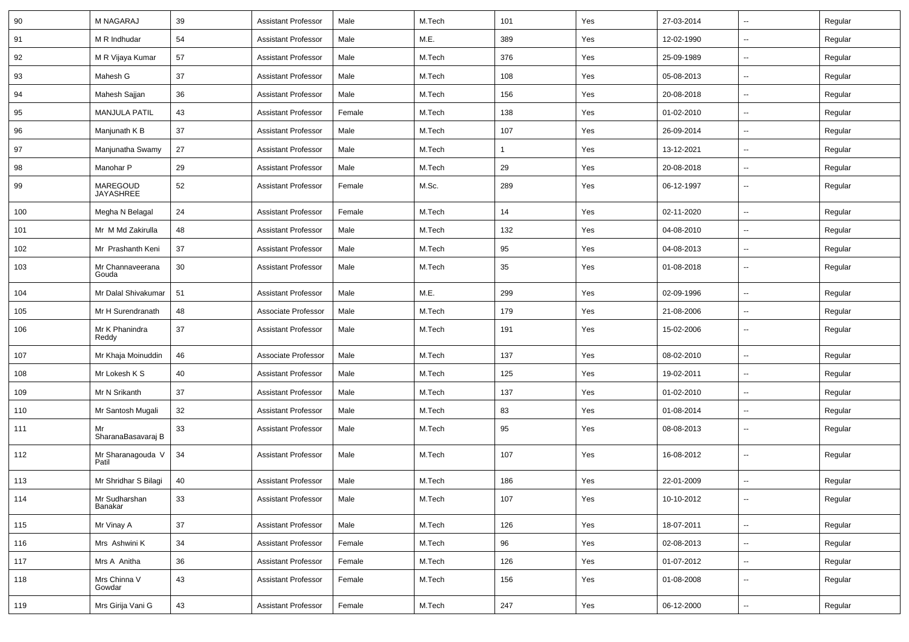| 90  | <b>M NAGARAJ</b>           | 39 | <b>Assistant Professor</b> | Male   | M.Tech | 101            | Yes | 27-03-2014 | $\overline{\phantom{a}}$ | Regular |
|-----|----------------------------|----|----------------------------|--------|--------|----------------|-----|------------|--------------------------|---------|
| 91  | M R Indhudar               | 54 | <b>Assistant Professor</b> | Male   | M.E.   | 389            | Yes | 12-02-1990 | -−                       | Regular |
| 92  | M R Vijaya Kumar           | 57 | <b>Assistant Professor</b> | Male   | M.Tech | 376            | Yes | 25-09-1989 | -−                       | Regular |
| 93  | Mahesh G                   | 37 | <b>Assistant Professor</b> | Male   | M.Tech | 108            | Yes | 05-08-2013 | --                       | Regular |
| 94  | Mahesh Sajjan              | 36 | <b>Assistant Professor</b> | Male   | M.Tech | 156            | Yes | 20-08-2018 | -−                       | Regular |
| 95  | <b>MANJULA PATIL</b>       | 43 | <b>Assistant Professor</b> | Female | M.Tech | 138            | Yes | 01-02-2010 | Ξ.                       | Regular |
| 96  | Manjunath K B              | 37 | <b>Assistant Professor</b> | Male   | M.Tech | 107            | Yes | 26-09-2014 | $\sim$                   | Regular |
| 97  | Manjunatha Swamy           | 27 | <b>Assistant Professor</b> | Male   | M.Tech | $\overline{1}$ | Yes | 13-12-2021 | -−                       | Regular |
| 98  | Manohar P                  | 29 | <b>Assistant Professor</b> | Male   | M.Tech | 29             | Yes | 20-08-2018 | $\overline{\phantom{a}}$ | Regular |
| 99  | MAREGOUD<br>JAYASHREE      | 52 | <b>Assistant Professor</b> | Female | M.Sc.  | 289            | Yes | 06-12-1997 | --                       | Regular |
| 100 | Megha N Belagal            | 24 | <b>Assistant Professor</b> | Female | M.Tech | 14             | Yes | 02-11-2020 | $\overline{a}$           | Regular |
| 101 | Mr M Md Zakirulla          | 48 | <b>Assistant Professor</b> | Male   | M.Tech | 132            | Yes | 04-08-2010 | --                       | Regular |
| 102 | Mr Prashanth Keni          | 37 | <b>Assistant Professor</b> | Male   | M.Tech | 95             | Yes | 04-08-2013 | $\sim$                   | Regular |
| 103 | Mr Channaveerana<br>Gouda  | 30 | <b>Assistant Professor</b> | Male   | M.Tech | 35             | Yes | 01-08-2018 | $\overline{\phantom{a}}$ | Regular |
| 104 | Mr Dalal Shivakumar        | 51 | <b>Assistant Professor</b> | Male   | M.E.   | 299            | Yes | 02-09-1996 | Ξ.                       | Regular |
| 105 | Mr H Surendranath          | 48 | Associate Professor        | Male   | M.Tech | 179            | Yes | 21-08-2006 | --                       | Regular |
| 106 | Mr K Phanindra<br>Reddy    | 37 | <b>Assistant Professor</b> | Male   | M.Tech | 191            | Yes | 15-02-2006 | -−                       | Regular |
| 107 | Mr Khaja Moinuddin         | 46 | Associate Professor        | Male   | M.Tech | 137            | Yes | 08-02-2010 | $\overline{\phantom{a}}$ | Regular |
| 108 | Mr Lokesh K S              | 40 | <b>Assistant Professor</b> | Male   | M.Tech | 125            | Yes | 19-02-2011 | --                       | Regular |
| 109 | Mr N Srikanth              | 37 | <b>Assistant Professor</b> | Male   | M.Tech | 137            | Yes | 01-02-2010 | -−                       | Regular |
| 110 | Mr Santosh Mugali          | 32 | <b>Assistant Professor</b> | Male   | M.Tech | 83             | Yes | 01-08-2014 | Ξ.                       | Regular |
| 111 | Mr<br>SharanaBasavaraj B   | 33 | <b>Assistant Professor</b> | Male   | M.Tech | 95             | Yes | 08-08-2013 | ⊷.                       | Regular |
| 112 | Mr Sharanagouda V<br>Patil | 34 | <b>Assistant Professor</b> | Male   | M.Tech | 107            | Yes | 16-08-2012 | $\overline{\phantom{a}}$ | Regular |
| 113 | Mr Shridhar S Bilagi       | 40 | <b>Assistant Professor</b> | Male   | M.Tech | 186            | Yes | 22-01-2009 | ц.                       | Regular |
| 114 | Mr Sudharshan<br>Banakar   | 33 | <b>Assistant Professor</b> | Male   | M.Tech | 107            | Yes | 10-10-2012 | $\sim$                   | Regular |
| 115 | Mr Vinay A                 | 37 | Assistant Professor        | Male   | M.Tech | 126            | Yes | 18-07-2011 | $\sim$                   | Regular |
| 116 | Mrs Ashwini K              | 34 | <b>Assistant Professor</b> | Female | M.Tech | 96             | Yes | 02-08-2013 | $\overline{\phantom{a}}$ | Regular |
| 117 | Mrs A Anitha               | 36 | <b>Assistant Professor</b> | Female | M.Tech | 126            | Yes | 01-07-2012 | $\sim$                   | Regular |
| 118 | Mrs Chinna V<br>Gowdar     | 43 | <b>Assistant Professor</b> | Female | M.Tech | 156            | Yes | 01-08-2008 | н.                       | Regular |
| 119 | Mrs Girija Vani G          | 43 | <b>Assistant Professor</b> | Female | M.Tech | 247            | Yes | 06-12-2000 | Ξ.                       | Regular |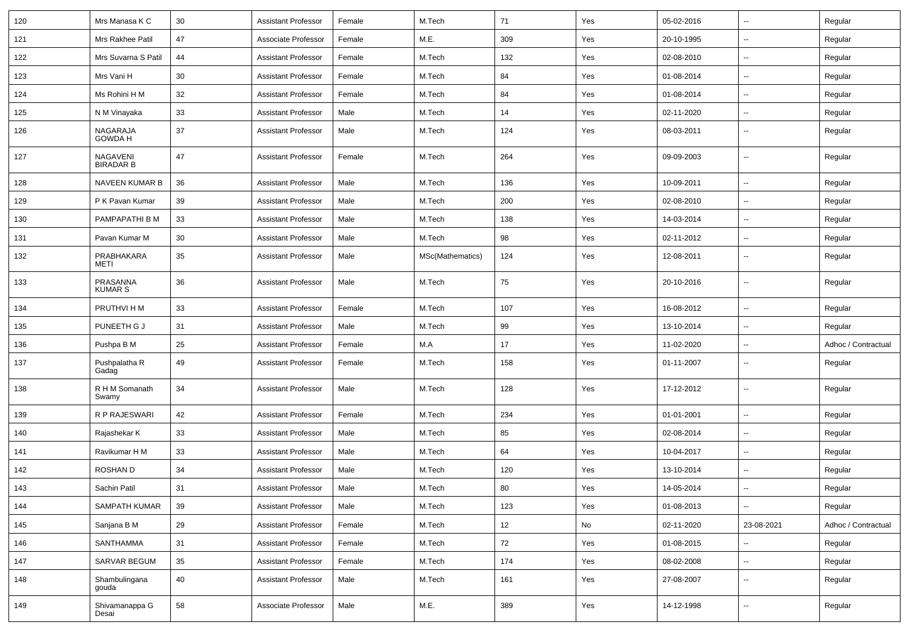| 120 | Mrs Manasa K C             | 30     | Assistant Professor        | Female | M.Tech           | 71  | Yes | 05-02-2016 | $\sim$                   | Regular             |
|-----|----------------------------|--------|----------------------------|--------|------------------|-----|-----|------------|--------------------------|---------------------|
| 121 | Mrs Rakhee Patil           | 47     | Associate Professor        | Female | M.E.             | 309 | Yes | 20-10-1995 | --                       | Regular             |
| 122 | Mrs Suvarna S Patil        | 44     | <b>Assistant Professor</b> | Female | M.Tech           | 132 | Yes | 02-08-2010 | $\overline{\phantom{a}}$ | Regular             |
| 123 | Mrs Vani H                 | 30     | <b>Assistant Professor</b> | Female | M.Tech           | 84  | Yes | 01-08-2014 | $\overline{\phantom{a}}$ | Regular             |
| 124 | Ms Rohini H M              | 32     | <b>Assistant Professor</b> | Female | M.Tech           | 84  | Yes | 01-08-2014 | $\overline{\phantom{a}}$ | Regular             |
| 125 | N M Vinayaka               | 33     | <b>Assistant Professor</b> | Male   | M.Tech           | 14  | Yes | 02-11-2020 | $\sim$                   | Regular             |
| 126 | NAGARAJA<br>GOWDA H        | 37     | <b>Assistant Professor</b> | Male   | M.Tech           | 124 | Yes | 08-03-2011 | $\overline{\phantom{a}}$ | Regular             |
| 127 | NAGAVENI<br>BIRADAR B      | 47     | <b>Assistant Professor</b> | Female | M.Tech           | 264 | Yes | 09-09-2003 | $\mathbf{u}$             | Regular             |
| 128 | NAVEEN KUMAR B             | 36     | <b>Assistant Professor</b> | Male   | M.Tech           | 136 | Yes | 10-09-2011 | $\sim$                   | Regular             |
| 129 | P K Pavan Kumar            | 39     | <b>Assistant Professor</b> | Male   | M.Tech           | 200 | Yes | 02-08-2010 | $\overline{\phantom{a}}$ | Regular             |
| 130 | PAMPAPATHI B M             | 33     | <b>Assistant Professor</b> | Male   | M.Tech           | 138 | Yes | 14-03-2014 | $\overline{\phantom{a}}$ | Regular             |
| 131 | Pavan Kumar M              | 30     | <b>Assistant Professor</b> | Male   | M.Tech           | 98  | Yes | 02-11-2012 | $\overline{\phantom{a}}$ | Regular             |
| 132 | PRABHAKARA<br>METI         | 35     | <b>Assistant Professor</b> | Male   | MSc(Mathematics) | 124 | Yes | 12-08-2011 | --                       | Regular             |
| 133 | PRASANNA<br><b>KUMAR S</b> | 36     | <b>Assistant Professor</b> | Male   | M.Tech           | 75  | Yes | 20-10-2016 | --                       | Regular             |
| 134 | PRUTHVI H M                | 33     | Assistant Professor        | Female | M.Tech           | 107 | Yes | 16-08-2012 | $\overline{\phantom{a}}$ | Regular             |
| 135 | PUNEETH G J                | 31     | Assistant Professor        | Male   | M.Tech           | 99  | Yes | 13-10-2014 |                          | Regular             |
| 136 | Pushpa B M                 | 25     | <b>Assistant Professor</b> | Female | M.A              | 17  | Yes | 11-02-2020 | $\sim$                   | Adhoc / Contractual |
| 137 | Pushpalatha R<br>Gadag     | 49     | <b>Assistant Professor</b> | Female | M.Tech           | 158 | Yes | 01-11-2007 | $\overline{\phantom{a}}$ | Regular             |
| 138 | R H M Somanath<br>Swamy    | 34     | Assistant Professor        | Male   | M.Tech           | 128 | Yes | 17-12-2012 | $\overline{\phantom{a}}$ | Regular             |
| 139 | R P RAJESWARI              | 42     | <b>Assistant Professor</b> | Female | M.Tech           | 234 | Yes | 01-01-2001 | $\mathbf{u}$             | Regular             |
| 140 | Rajashekar K               | 33     | <b>Assistant Professor</b> | Male   | M.Tech           | 85  | Yes | 02-08-2014 | $\overline{\phantom{a}}$ | Regular             |
| 141 | Ravikumar H M              | 33     | <b>Assistant Professor</b> | Male   | M.Tech           | 64  | Yes | 10-04-2017 | $\overline{\phantom{a}}$ | Regular             |
| 142 | <b>ROSHAND</b>             | 34     | <b>Assistant Professor</b> | Male   | M.Tech           | 120 | Yes | 13-10-2014 | $\overline{\phantom{a}}$ | Regular             |
| 143 | Sachin Patil               | 31     | <b>Assistant Professor</b> | Male   | M.Tech           | 80  | Yes | 14-05-2014 |                          | Regular             |
| 144 | SAMPATH KUMAR              | 39     | <b>Assistant Professor</b> | Male   | M.Tech           | 123 | Yes | 01-08-2013 | $\sim$                   | Regular             |
| 145 | Sanjana B M                | 29     | <b>Assistant Professor</b> | Female | M.Tech           | 12  | No  | 02-11-2020 | 23-08-2021               | Adhoc / Contractual |
| 146 | SANTHAMMA                  | 31     | <b>Assistant Professor</b> | Female | M.Tech           | 72  | Yes | 01-08-2015 | $\sim$                   | Regular             |
| 147 | SARVAR BEGUM               | $35\,$ | <b>Assistant Professor</b> | Female | M.Tech           | 174 | Yes | 08-02-2008 | $\sim$                   | Regular             |
| 148 | Shambulingana<br>gouda     | 40     | <b>Assistant Professor</b> | Male   | M.Tech           | 161 | Yes | 27-08-2007 | $\sim$                   | Regular             |
| 149 | Shivamanappa G<br>Desai    | 58     | Associate Professor        | Male   | M.E.             | 389 | Yes | 14-12-1998 | $\sim$                   | Regular             |